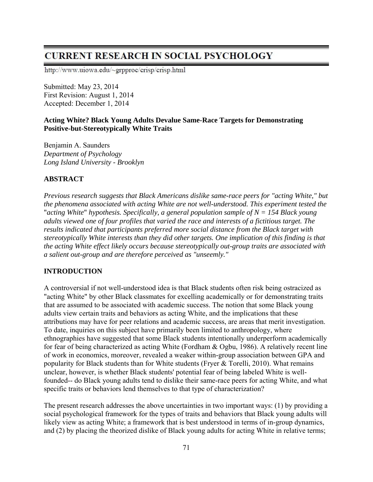# **CURRENT RESEARCH IN SOCIAL PSYCHOLOGY**

http://www.uiowa.edu/~grpproc/crisp/crisp.html

Submitted: May 23, 2014 First Revision: August 1, 2014 Accepted: December 1, 2014

#### **Acting White? Black Young Adults Devalue Same-Race Targets for Demonstrating Positive-but-Stereotypically White Traits**

Benjamin A. Saunders *Department of Psychology Long Island University - Brooklyn* 

# **ABSTRACT**

*Previous research suggests that Black Americans dislike same-race peers for "acting White," but the phenomena associated with acting White are not well-understood. This experiment tested the*  "*acting White*" *hypothesis. Specifically, a general population sample of N = 154 Black young adults viewed one of four profiles that varied the race and interests of a fictitious target. The results indicated that participants preferred more social distance from the Black target with stereotypically White interests than they did other targets. One implication of this finding is that the acting White effect likely occurs because stereotypically out-group traits are associated with a salient out-group and are therefore perceived as "unseemly."* 

#### **INTRODUCTION**

A controversial if not well-understood idea is that Black students often risk being ostracized as "acting White" by other Black classmates for excelling academically or for demonstrating traits that are assumed to be associated with academic success. The notion that some Black young adults view certain traits and behaviors as acting White, and the implications that these attributions may have for peer relations and academic success, are areas that merit investigation. To date, inquiries on this subject have primarily been limited to anthropology, where ethnographies have suggested that some Black students intentionally underperform academically for fear of being characterized as acting White (Fordham & Ogbu, 1986). A relatively recent line of work in economics, moreover, revealed a weaker within-group association between GPA and popularity for Black students than for White students (Fryer & Torelli, 2010). What remains unclear, however, is whether Black students' potential fear of being labeled White is wellfounded-- do Black young adults tend to dislike their same-race peers for acting White, and what specific traits or behaviors lend themselves to that type of characterization?

The present research addresses the above uncertainties in two important ways: (1) by providing a social psychological framework for the types of traits and behaviors that Black young adults will likely view as acting White; a framework that is best understood in terms of in-group dynamics, and (2) by placing the theorized dislike of Black young adults for acting White in relative terms;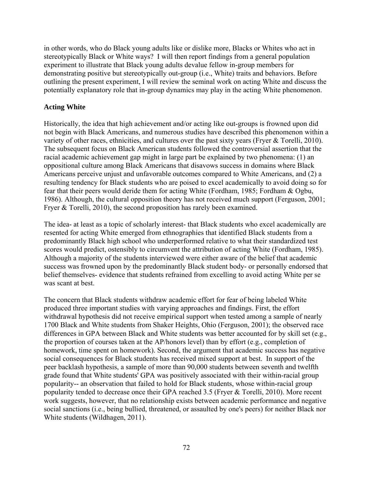in other words, who do Black young adults like or dislike more, Blacks or Whites who act in stereotypically Black or White ways? I will then report findings from a general population experiment to illustrate that Black young adults devalue fellow in-group members for demonstrating positive but stereotypically out-group (i.e., White) traits and behaviors. Before outlining the present experiment, I will review the seminal work on acting White and discuss the potentially explanatory role that in-group dynamics may play in the acting White phenomenon.

#### **Acting White**

Historically, the idea that high achievement and/or acting like out-groups is frowned upon did not begin with Black Americans, and numerous studies have described this phenomenon within a variety of other races, ethnicities, and cultures over the past sixty years (Fryer & Torelli, 2010). The subsequent focus on Black American students followed the controversial assertion that the racial academic achievement gap might in large part be explained by two phenomena: (1) an oppositional culture among Black Americans that disavows success in domains where Black Americans perceive unjust and unfavorable outcomes compared to White Americans, and (2) a resulting tendency for Black students who are poised to excel academically to avoid doing so for fear that their peers would deride them for acting White (Fordham, 1985; Fordham & Ogbu, 1986). Although, the cultural opposition theory has not received much support (Ferguson, 2001; Fryer & Torelli, 2010), the second proposition has rarely been examined.

The idea- at least as a topic of scholarly interest- that Black students who excel academically are resented for acting White emerged from ethnographies that identified Black students from a predominantly Black high school who underperformed relative to what their standardized test scores would predict, ostensibly to circumvent the attribution of acting White (Fordham, 1985). Although a majority of the students interviewed were either aware of the belief that academic success was frowned upon by the predominantly Black student body- or personally endorsed that belief themselves- evidence that students refrained from excelling to avoid acting White per se was scant at best.

The concern that Black students withdraw academic effort for fear of being labeled White produced three important studies with varying approaches and findings. First, the effort withdrawal hypothesis did not receive empirical support when tested among a sample of nearly 1700 Black and White students from Shaker Heights, Ohio (Ferguson, 2001); the observed race differences in GPA between Black and White students was better accounted for by skill set (e.g., the proportion of courses taken at the AP/honors level) than by effort (e.g., completion of homework, time spent on homework). Second, the argument that academic success has negative social consequences for Black students has received mixed support at best. In support of the peer backlash hypothesis, a sample of more than 90,000 students between seventh and twelfth grade found that White students' GPA was positively associated with their within-racial group popularity-- an observation that failed to hold for Black students, whose within-racial group popularity tended to decrease once their GPA reached 3.5 (Fryer & Torelli, 2010). More recent work suggests, however, that no relationship exists between academic performance and negative social sanctions (i.e., being bullied, threatened, or assaulted by one's peers) for neither Black nor White students (Wildhagen, 2011).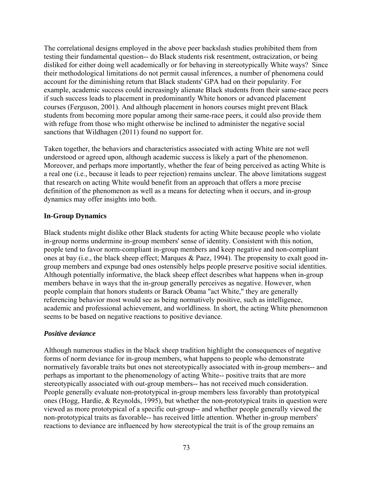The correlational designs employed in the above peer backslash studies prohibited them from testing their fundamental question-- do Black students risk resentment, ostracization, or being disliked for either doing well academically or for behaving in stereotypically White ways? Since their methodological limitations do not permit causal inferences, a number of phenomena could account for the diminishing return that Black students' GPA had on their popularity. For example, academic success could increasingly alienate Black students from their same-race peers if such success leads to placement in predominantly White honors or advanced placement courses (Ferguson, 2001). And although placement in honors courses might prevent Black students from becoming more popular among their same-race peers, it could also provide them with refuge from those who might otherwise be inclined to administer the negative social sanctions that Wildhagen (2011) found no support for.

Taken together, the behaviors and characteristics associated with acting White are not well understood or agreed upon, although academic success is likely a part of the phenomenon. Moreover, and perhaps more importantly, whether the fear of being perceived as acting White is a real one (i.e., because it leads to peer rejection) remains unclear. The above limitations suggest that research on acting White would benefit from an approach that offers a more precise definition of the phenomenon as well as a means for detecting when it occurs, and in-group dynamics may offer insights into both.

#### **In-Group Dynamics**

Black students might dislike other Black students for acting White because people who violate in-group norms undermine in-group members' sense of identity. Consistent with this notion, people tend to favor norm-compliant in-group members and keep negative and non-compliant ones at bay (i.e., the black sheep effect; Marques & Paez, 1994). The propensity to exalt good ingroup members and expunge bad ones ostensibly helps people preserve positive social identities. Although potentially informative, the black sheep effect describes what happens when in-group members behave in ways that the in-group generally perceives as negative. However, when people complain that honors students or Barack Obama "act White," they are generally referencing behavior most would see as being normatively positive, such as intelligence, academic and professional achievement, and worldliness. In short, the acting White phenomenon seems to be based on negative reactions to positive deviance.

#### *Positive deviance*

Although numerous studies in the black sheep tradition highlight the consequences of negative forms of norm deviance for in-group members, what happens to people who demonstrate normatively favorable traits but ones not stereotypically associated with in-group members-- and perhaps as important to the phenomenology of acting White-- positive traits that are more stereotypically associated with out-group members-- has not received much consideration. People generally evaluate non-prototypical in-group members less favorably than prototypical ones (Hogg, Hardie, & Reynolds, 1995), but whether the non-prototypical traits in question were viewed as more prototypical of a specific out-group-- and whether people generally viewed the non-prototypical traits as favorable-- has received little attention. Whether in-group members' reactions to deviance are influenced by how stereotypical the trait is of the group remains an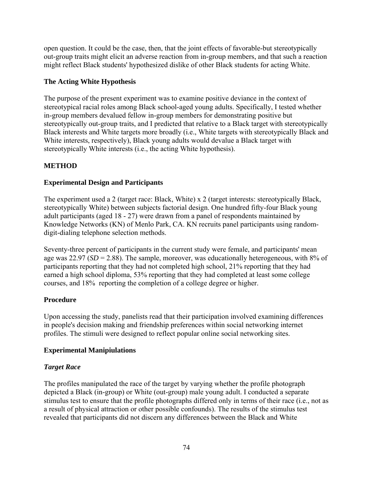open question. It could be the case, then, that the joint effects of favorable-but stereotypically out-group traits might elicit an adverse reaction from in-group members, and that such a reaction might reflect Black students' hypothesized dislike of other Black students for acting White.

### **The Acting White Hypothesis**

The purpose of the present experiment was to examine positive deviance in the context of stereotypical racial roles among Black school-aged young adults. Specifically, I tested whether in-group members devalued fellow in-group members for demonstrating positive but stereotypically out-group traits, and I predicted that relative to a Black target with stereotypically Black interests and White targets more broadly (i.e., White targets with stereotypically Black and White interests, respectively), Black young adults would devalue a Black target with stereotypically White interests (i.e., the acting White hypothesis).

# **METHOD**

#### **Experimental Design and Participants**

The experiment used a 2 (target race: Black, White) x 2 (target interests: stereotypically Black, stereotypically White) between subjects factorial design. One hundred fifty-four Black young adult participants (aged 18 - 27) were drawn from a panel of respondents maintained by Knowledge Networks (KN) of Menlo Park, CA. KN recruits panel participants using randomdigit-dialing telephone selection methods.

Seventy-three percent of participants in the current study were female, and participants' mean age was 22.97 (*SD* = 2.88). The sample, moreover, was educationally heterogeneous, with 8% of participants reporting that they had not completed high school, 21% reporting that they had earned a high school diploma, 53% reporting that they had completed at least some college courses, and 18% reporting the completion of a college degree or higher.

#### **Procedure**

Upon accessing the study, panelists read that their participation involved examining differences in people's decision making and friendship preferences within social networking internet profiles. The stimuli were designed to reflect popular online social networking sites.

#### **Experimental Manipiulations**

#### *Target Race*

The profiles manipulated the race of the target by varying whether the profile photograph depicted a Black (in-group) or White (out-group) male young adult. I conducted a separate stimulus test to ensure that the profile photographs differed only in terms of their race (i.e., not as a result of physical attraction or other possible confounds). The results of the stimulus test revealed that participants did not discern any differences between the Black and White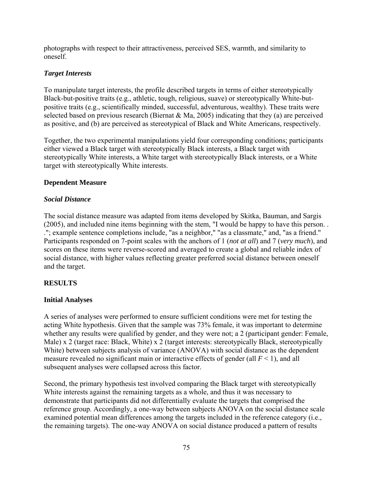photographs with respect to their attractiveness, perceived SES, warmth, and similarity to oneself.

#### *Target Interests*

To manipulate target interests, the profile described targets in terms of either stereotypically Black-but-positive traits (e.g., athletic, tough, religious, suave) or stereotypically White-butpositive traits (e.g., scientifically minded, successful, adventurous, wealthy). These traits were selected based on previous research (Biernat & Ma, 2005) indicating that they (a) are perceived as positive, and (b) are perceived as stereotypical of Black and White Americans, respectively.

Together, the two experimental manipulations yield four corresponding conditions; participants either viewed a Black target with stereotypically Black interests, a Black target with stereotypically White interests, a White target with stereotypically Black interests, or a White target with stereotypically White interests.

#### **Dependent Measure**

# *Social Distance*

The social distance measure was adapted from items developed by Skitka, Bauman, and Sargis (2005), and included nine items beginning with the stem, "I would be happy to have this person. . ."; example sentence completions include, "as a neighbor," "as a classmate," and, "as a friend." Participants responded on 7-point scales with the anchors of 1 (*not at all*) and 7 (*very much*), and scores on these items were reverse-scored and averaged to create a global and reliable index of social distance, with higher values reflecting greater preferred social distance between oneself and the target.

# **RESULTS**

#### **Initial Analyses**

A series of analyses were performed to ensure sufficient conditions were met for testing the acting White hypothesis. Given that the sample was 73% female, it was important to determine whether any results were qualified by gender, and they were not; a 2 (participant gender: Female, Male) x 2 (target race: Black, White) x 2 (target interests: stereotypically Black, stereotypically White) between subjects analysis of variance (ANOVA) with social distance as the dependent measure revealed no significant main or interactive effects of gender (all  $F < 1$ ), and all subsequent analyses were collapsed across this factor.

Second, the primary hypothesis test involved comparing the Black target with stereotypically White interests against the remaining targets as a whole, and thus it was necessary to demonstrate that participants did not differentially evaluate the targets that comprised the reference group. Accordingly, a one-way between subjects ANOVA on the social distance scale examined potential mean differences among the targets included in the reference category (i.e., the remaining targets). The one-way ANOVA on social distance produced a pattern of results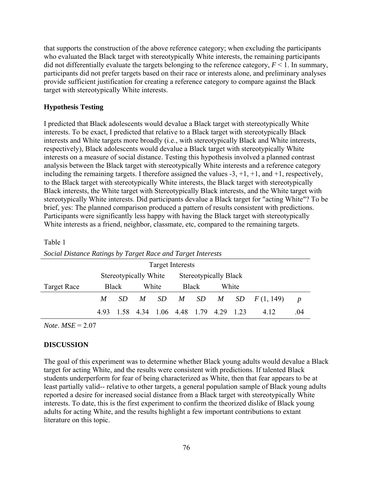that supports the construction of the above reference category; when excluding the participants who evaluated the Black target with stereotypically White interests, the remaining participants did not differentially evaluate the targets belonging to the reference category,  $F \leq 1$ . In summary, participants did not prefer targets based on their race or interests alone, and preliminary analyses provide sufficient justification for creating a reference category to compare against the Black target with stereotypically White interests.

#### **Hypothesis Testing**

I predicted that Black adolescents would devalue a Black target with stereotypically White interests. To be exact, I predicted that relative to a Black target with stereotypically Black interests and White targets more broadly (i.e., with stereotypically Black and White interests, respectively), Black adolescents would devalue a Black target with stereotypically White interests on a measure of social distance. Testing this hypothesis involved a planned contrast analysis between the Black target with stereotypically White interests and a reference category including the remaining targets. I therefore assigned the values  $-3$ ,  $+1$ ,  $+1$ , and  $+1$ , respectively, to the Black target with stereotypically White interests, the Black target with stereotypically Black interests, the White target with Stereotypically Black interests, and the White target with stereotypically White interests. Did participants devalue a Black target for "acting White"? To be brief, yes: The planned comparison produced a pattern of results consistent with predictions. Participants were significantly less happy with having the Black target with stereotypically White interests as a friend, neighbor, classmate, etc, compared to the remaining targets.

#### Table 1

| <b>Target Interests</b> |       |                                                       |       |  |                                    |  |       |  |                                  |                  |  |
|-------------------------|-------|-------------------------------------------------------|-------|--|------------------------------------|--|-------|--|----------------------------------|------------------|--|
|                         |       | <b>Stereotypically Black</b><br>Stereotypically White |       |  |                                    |  |       |  |                                  |                  |  |
| Target Race             | Black |                                                       | White |  | Black                              |  | White |  |                                  |                  |  |
|                         | M     | SD.                                                   |       |  |                                    |  |       |  | $M$ SD $M$ SD $M$ SD $F(1, 149)$ | $\boldsymbol{p}$ |  |
|                         | 493   |                                                       |       |  | 1.58 4.34 1.06 4.48 1.79 4.29 1.23 |  |       |  | 4 1 2                            | .04              |  |

*Social Distance Ratings by Target Race and Target Interests* 

*Note*. *MSE* = 2.07

#### **DISCUSSION**

The goal of this experiment was to determine whether Black young adults would devalue a Black target for acting White, and the results were consistent with predictions. If talented Black students underperform for fear of being characterized as White, then that fear appears to be at least partially valid-- relative to other targets, a general population sample of Black young adults reported a desire for increased social distance from a Black target with stereotypically White interests. To date, this is the first experiment to confirm the theorized dislike of Black young adults for acting White, and the results highlight a few important contributions to extant literature on this topic.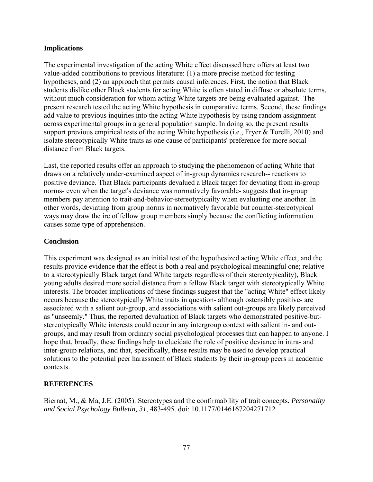#### **Implications**

The experimental investigation of the acting White effect discussed here offers at least two value-added contributions to previous literature: (1) a more precise method for testing hypotheses, and (2) an approach that permits causal inferences. First, the notion that Black students dislike other Black students for acting White is often stated in diffuse or absolute terms, without much consideration for whom acting White targets are being evaluated against. The present research tested the acting White hypothesis in comparative terms. Second, these findings add value to previous inquiries into the acting White hypothesis by using random assignment across experimental groups in a general population sample. In doing so, the present results support previous empirical tests of the acting White hypothesis (i.e., Fryer & Torelli, 2010) and isolate stereotypically White traits as one cause of participants' preference for more social distance from Black targets.

Last, the reported results offer an approach to studying the phenomenon of acting White that draws on a relatively under-examined aspect of in-group dynamics research-- reactions to positive deviance. That Black participants devalued a Black target for deviating from in-group norms- even when the target's deviance was normatively favorable- suggests that in-group members pay attention to trait-and-behavior-stereotypicailty when evaluating one another. In other words, deviating from group norms in normatively favorable but counter-stereotypical ways may draw the ire of fellow group members simply because the conflicting information causes some type of apprehension.

#### **Conclusion**

This experiment was designed as an initial test of the hypothesized acting White effect, and the results provide evidence that the effect is both a real and psychological meaningful one; relative to a stereotypically Black target (and White targets regardless of their stereotypicality), Black young adults desired more social distance from a fellow Black target with stereotypically White interests. The broader implications of these findings suggest that the "acting White" effect likely occurs because the stereotypically White traits in question- although ostensibly positive- are associated with a salient out-group, and associations with salient out-groups are likely perceived as "unseemly." Thus, the reported devaluation of Black targets who demonstrated positive-butstereotypically White interests could occur in any intergroup context with salient in- and outgroups, and may result from ordinary social psychological processes that can happen to anyone. I hope that, broadly, these findings help to elucidate the role of positive deviance in intra- and inter-group relations, and that, specifically, these results may be used to develop practical solutions to the potential peer harassment of Black students by their in-group peers in academic contexts.

#### **REFERENCES**

Biernat, M., & Ma, J.E. (2005). Stereotypes and the confirmability of trait concepts*. Personality and Social Psychology Bulletin, 31*, 483-495. doi: 10.1177/0146167204271712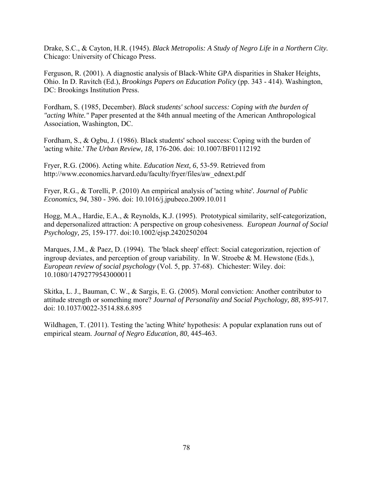Drake, S.C., & Cayton, H.R. (1945). *Black Metropolis: A Study of Negro Life in a Northern City.* Chicago: University of Chicago Press.

Ferguson, R. (2001). A diagnostic analysis of Black-White GPA disparities in Shaker Heights, Ohio. In D. Ravitch (Ed.), *Brookings Papers on Education Policy* (pp. 343 - 414). Washington, DC: Brookings Institution Press.

Fordham, S. (1985, December). *Black students' school success: Coping with the burden of "acting White."* Paper presented at the 84th annual meeting of the American Anthropological Association, Washington, DC.

Fordham, S., & Ogbu, J. (1986). Black students' school success: Coping with the burden of 'acting white.' *The Urban Review, 18*, 176-206. doi: 10.1007/BF01112192

Fryer, R.G. (2006). Acting white. *Education Next, 6*, 53-59. Retrieved from http://www.economics.harvard.edu/faculty/fryer/files/aw\_ednext.pdf

Fryer, R.G., & Torelli, P. (2010) An empirical analysis of 'acting white'*. Journal of Public Economics, 94*, 380 - 396. doi: 10.1016/j.jpubeco.2009.10.011

Hogg, M.A., Hardie, E.A., & Reynolds, K.J. (1995). Prototypical similarity, self-categorization, and depersonalized attraction: A perspective on group cohesiveness. *European Journal of Social Psychology, 25*, 159-177. doi:10.1002/ejsp.2420250204

Marques, J.M., & Paez, D. (1994). The 'black sheep' effect: Social categorization, rejection of ingroup deviates, and perception of group variability. In W. Stroebe & M. Hewstone (Eds.), *European review of social psychology* (Vol. 5, pp. 37-68). Chichester: Wiley. doi: 10.1080/14792779543000011

Skitka, L. J., Bauman, C. W., & Sargis, E. G. (2005). Moral conviction: Another contributor to attitude strength or something more? *Journal of Personality and Social Psychology, 88*, 895-917. doi: 10.1037/0022-3514.88.6.895

Wildhagen, T. (2011). Testing the 'acting White' hypothesis: A popular explanation runs out of empirical steam. *Journal of Negro Education, 80*, 445-463.